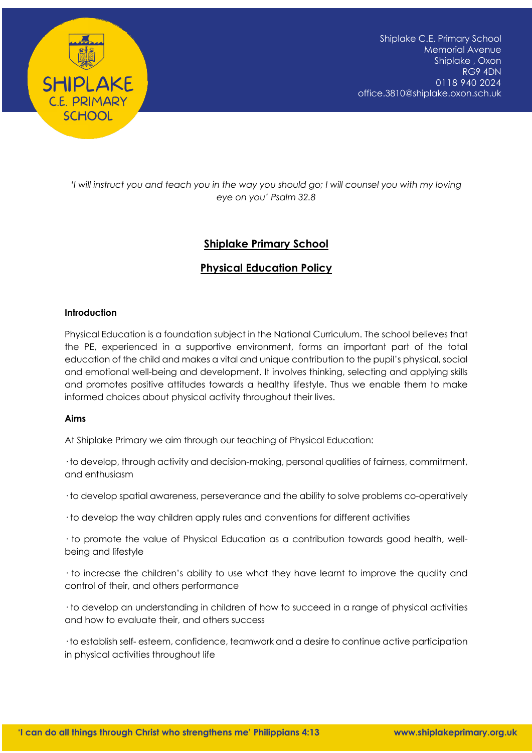

*'I will instruct you and teach you in the way you should go; I will counsel you with my loving eye on you' Psalm 32.8*

# **Shiplake Primary School**

# **Physical Education Policy**

## **Introduction**

Physical Education is a foundation subject in the National Curriculum. The school believes that the PE, experienced in a supportive environment, forms an important part of the total education of the child and makes a vital and unique contribution to the pupil's physical, social and emotional well-being and development. It involves thinking, selecting and applying skills and promotes positive attitudes towards a healthy lifestyle. Thus we enable them to make informed choices about physical activity throughout their lives.

## **Aims**

At Shiplake Primary we aim through our teaching of Physical Education:

· to develop, through activity and decision-making, personal qualities of fairness, commitment, and enthusiasm

· to develop spatial awareness, perseverance and the ability to solve problems co-operatively

· to develop the way children apply rules and conventions for different activities

· to promote the value of Physical Education as a contribution towards good health, wellbeing and lifestyle

· to increase the children's ability to use what they have learnt to improve the quality and control of their, and others performance

· to develop an understanding in children of how to succeed in a range of physical activities and how to evaluate their, and others success

· to establish self- esteem, confidence, teamwork and a desire to continue active participation in physical activities throughout life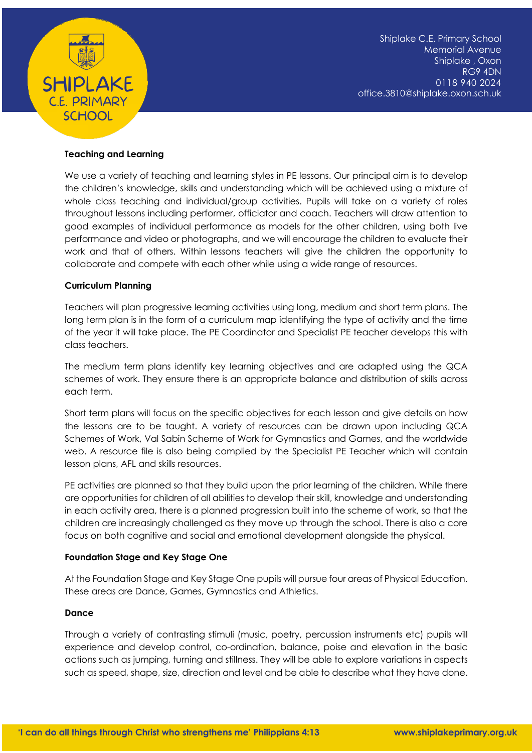

## **Teaching and Learning**

We use a variety of teaching and learning styles in PE lessons. Our principal aim is to develop the children's knowledge, skills and understanding which will be achieved using a mixture of whole class teaching and individual/group activities. Pupils will take on a variety of roles throughout lessons including performer, officiator and coach. Teachers will draw attention to good examples of individual performance as models for the other children, using both live performance and video or photographs, and we will encourage the children to evaluate their work and that of others. Within lessons teachers will give the children the opportunity to collaborate and compete with each other while using a wide range of resources.

## **Curriculum Planning**

Teachers will plan progressive learning activities using long, medium and short term plans. The long term plan is in the form of a curriculum map identifying the type of activity and the time of the year it will take place. The PE Coordinator and Specialist PE teacher develops this with class teachers.

The medium term plans identify key learning objectives and are adapted using the QCA schemes of work. They ensure there is an appropriate balance and distribution of skills across each term.

Short term plans will focus on the specific objectives for each lesson and give details on how the lessons are to be taught. A variety of resources can be drawn upon including QCA Schemes of Work, Val Sabin Scheme of Work for Gymnastics and Games, and the worldwide web. A resource file is also being complied by the Specialist PE Teacher which will contain lesson plans, AFL and skills resources.

PE activities are planned so that they build upon the prior learning of the children. While there are opportunities for children of all abilities to develop their skill, knowledge and understanding in each activity area, there is a planned progression built into the scheme of work, so that the children are increasingly challenged as they move up through the school. There is also a core focus on both cognitive and social and emotional development alongside the physical.

## **Foundation Stage and Key Stage One**

At the Foundation Stage and Key Stage One pupils will pursue four areas of Physical Education. These areas are Dance, Games, Gymnastics and Athletics.

## **Dance**

Through a variety of contrasting stimuli (music, poetry, percussion instruments etc) pupils will experience and develop control, co-ordination, balance, poise and elevation in the basic actions such as jumping, turning and stillness. They will be able to explore variations in aspects such as speed, shape, size, direction and level and be able to describe what they have done.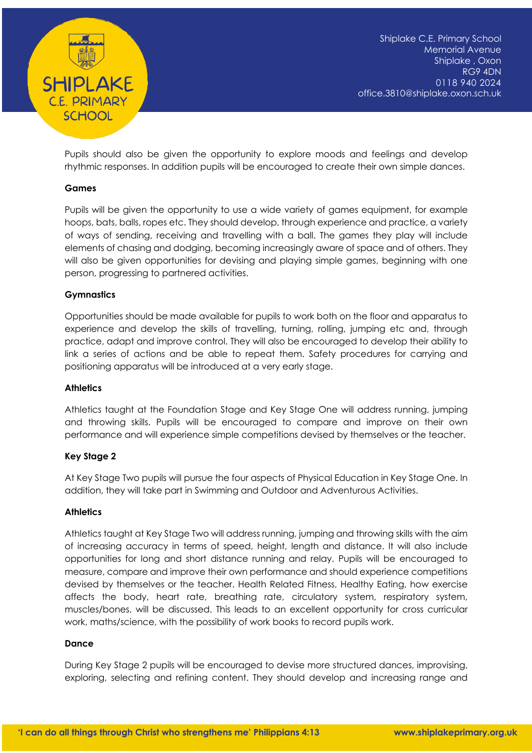

Pupils should also be given the opportunity to explore moods and feelings and develop rhythmic responses. In addition pupils will be encouraged to create their own simple dances.

## **Games**

Pupils will be given the opportunity to use a wide variety of games equipment, for example hoops, bats, balls, ropes etc. They should develop, through experience and practice, a variety of ways of sending, receiving and travelling with a ball. The games they play will include elements of chasing and dodging, becoming increasingly aware of space and of others. They will also be given opportunities for devising and playing simple games, beginning with one person, progressing to partnered activities.

## **Gymnastics**

Opportunities should be made available for pupils to work both on the floor and apparatus to experience and develop the skills of travelling, turning, rolling, jumping etc and, through practice, adapt and improve control. They will also be encouraged to develop their ability to link a series of actions and be able to repeat them. Safety procedures for carrying and positioning apparatus will be introduced at a very early stage.

## **Athletics**

Athletics taught at the Foundation Stage and Key Stage One will address running, jumping and throwing skills. Pupils will be encouraged to compare and improve on their own performance and will experience simple competitions devised by themselves or the teacher.

## **Key Stage 2**

At Key Stage Two pupils will pursue the four aspects of Physical Education in Key Stage One. In addition, they will take part in Swimming and Outdoor and Adventurous Activities.

## **Athletics**

Athletics taught at Key Stage Two will address running, jumping and throwing skills with the aim of increasing accuracy in terms of speed, height, length and distance. It will also include opportunities for long and short distance running and relay. Pupils will be encouraged to measure, compare and improve their own performance and should experience competitions devised by themselves or the teacher. Health Related Fitness, Healthy Eating, how exercise affects the body, heart rate, breathing rate, circulatory system, respiratory system, muscles/bones, will be discussed. This leads to an excellent opportunity for cross curricular work, maths/science, with the possibility of work books to record pupils work.

## **Dance**

During Key Stage 2 pupils will be encouraged to devise more structured dances, improvising, exploring, selecting and refining content. They should develop and increasing range and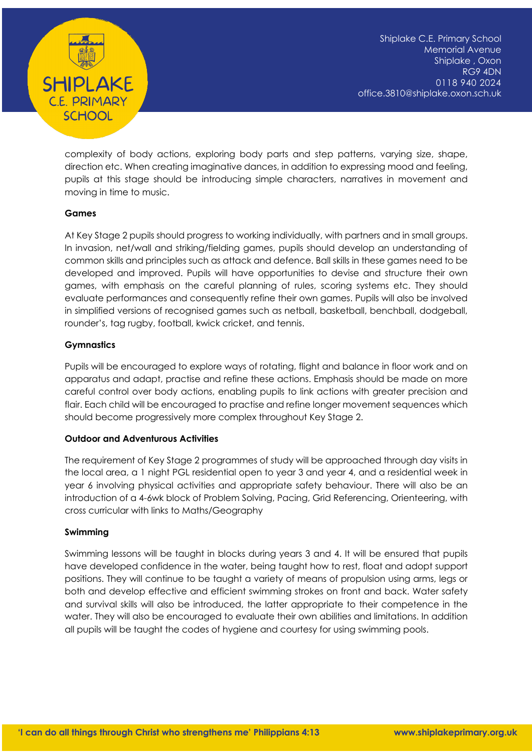

complexity of body actions, exploring body parts and step patterns, varying size, shape, direction etc. When creating imaginative dances, in addition to expressing mood and feeling, pupils at this stage should be introducing simple characters, narratives in movement and moving in time to music.

## **Games**

At Key Stage 2 pupils should progress to working individually, with partners and in small groups. In invasion, net/wall and striking/fielding games, pupils should develop an understanding of common skills and principles such as attack and defence. Ball skills in these games need to be developed and improved. Pupils will have opportunities to devise and structure their own games, with emphasis on the careful planning of rules, scoring systems etc. They should evaluate performances and consequently refine their own games. Pupils will also be involved in simplified versions of recognised games such as netball, basketball, benchball, dodgeball, rounder's, tag rugby, football, kwick cricket, and tennis.

## **Gymnastics**

Pupils will be encouraged to explore ways of rotating, flight and balance in floor work and on apparatus and adapt, practise and refine these actions. Emphasis should be made on more careful control over body actions, enabling pupils to link actions with greater precision and flair. Each child will be encouraged to practise and refine longer movement sequences which should become progressively more complex throughout Key Stage 2.

## **Outdoor and Adventurous Activities**

The requirement of Key Stage 2 programmes of study will be approached through day visits in the local area, a 1 night PGL residential open to year 3 and year 4, and a residential week in year 6 involving physical activities and appropriate safety behaviour. There will also be an introduction of a 4-6wk block of Problem Solving, Pacing, Grid Referencing, Orienteering, with cross curricular with links to Maths/Geography

## **Swimming**

Swimming lessons will be taught in blocks during years 3 and 4. It will be ensured that pupils have developed confidence in the water, being taught how to rest, float and adopt support positions. They will continue to be taught a variety of means of propulsion using arms, legs or both and develop effective and efficient swimming strokes on front and back. Water safety and survival skills will also be introduced, the latter appropriate to their competence in the water. They will also be encouraged to evaluate their own abilities and limitations. In addition all pupils will be taught the codes of hygiene and courtesy for using swimming pools.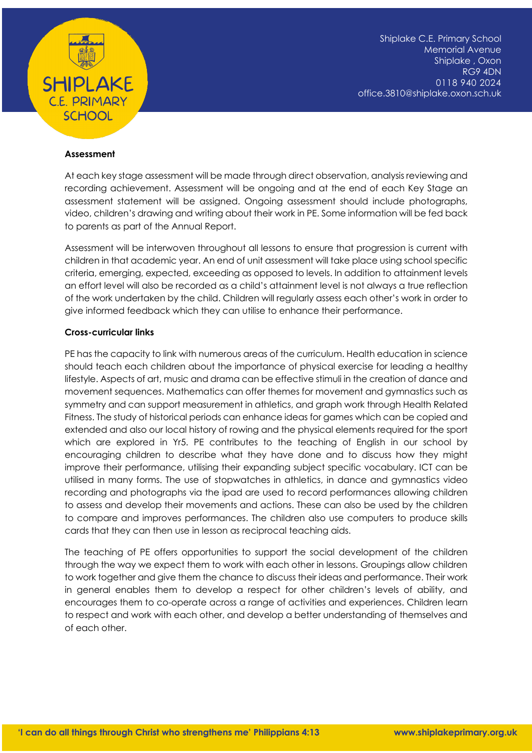

Shiplake C.E. Primary School Memorial Avenue Shiplake , Oxon RG9 4DN 0118 940 2024 office.3810@shiplake.oxon.sch.uk

## **Assessment**

At each key stage assessment will be made through direct observation, analysis reviewing and recording achievement. Assessment will be ongoing and at the end of each Key Stage an assessment statement will be assigned. Ongoing assessment should include photographs, video, children's drawing and writing about their work in PE. Some information will be fed back to parents as part of the Annual Report.

Assessment will be interwoven throughout all lessons to ensure that progression is current with children in that academic year. An end of unit assessment will take place using school specific criteria, emerging, expected, exceeding as opposed to levels. In addition to attainment levels an effort level will also be recorded as a child's attainment level is not always a true reflection of the work undertaken by the child. Children will regularly assess each other's work in order to give informed feedback which they can utilise to enhance their performance.

#### **Cross-curricular links**

PE has the capacity to link with numerous areas of the curriculum. Health education in science should teach each children about the importance of physical exercise for leading a healthy lifestyle. Aspects of art, music and drama can be effective stimuli in the creation of dance and movement sequences. Mathematics can offer themes for movement and gymnastics such as symmetry and can support measurement in athletics, and graph work through Health Related Fitness. The study of historical periods can enhance ideas for games which can be copied and extended and also our local history of rowing and the physical elements required for the sport which are explored in Yr5. PE contributes to the teaching of English in our school by encouraging children to describe what they have done and to discuss how they might improve their performance, utilising their expanding subject specific vocabulary. ICT can be utilised in many forms. The use of stopwatches in athletics, in dance and gymnastics video recording and photographs via the ipad are used to record performances allowing children to assess and develop their movements and actions. These can also be used by the children to compare and improves performances. The children also use computers to produce skills cards that they can then use in lesson as reciprocal teaching aids.

The teaching of PE offers opportunities to support the social development of the children through the way we expect them to work with each other in lessons. Groupings allow children to work together and give them the chance to discuss their ideas and performance. Their work in general enables them to develop a respect for other children's levels of ability, and encourages them to co-operate across a range of activities and experiences. Children learn to respect and work with each other, and develop a better understanding of themselves and of each other.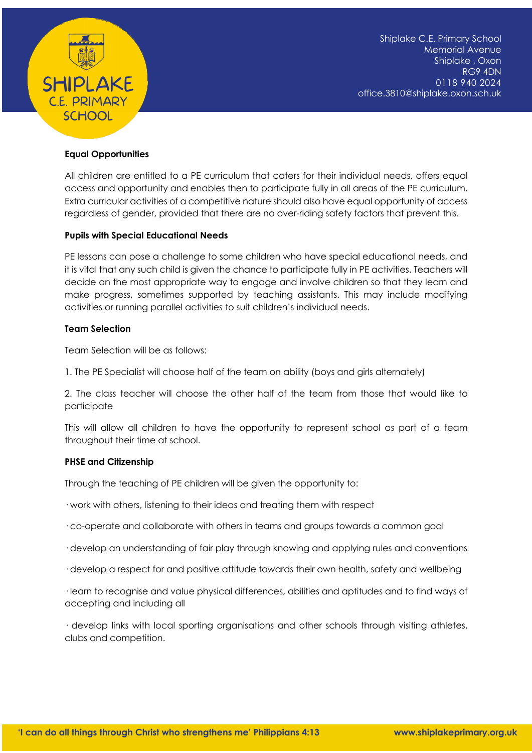

## **Equal Opportunities**

All children are entitled to a PE curriculum that caters for their individual needs, offers equal access and opportunity and enables then to participate fully in all areas of the PE curriculum. Extra curricular activities of a competitive nature should also have equal opportunity of access regardless of gender, provided that there are no over-riding safety factors that prevent this.

## **Pupils with Special Educational Needs**

PE lessons can pose a challenge to some children who have special educational needs, and it is vital that any such child is given the chance to participate fully in PE activities. Teachers will decide on the most appropriate way to engage and involve children so that they learn and make progress, sometimes supported by teaching assistants. This may include modifying activities or running parallel activities to suit children's individual needs.

## **Team Selection**

Team Selection will be as follows:

1. The PE Specialist will choose half of the team on ability (boys and girls alternately)

2. The class teacher will choose the other half of the team from those that would like to participate

This will allow all children to have the opportunity to represent school as part of a team throughout their time at school.

## **PHSE and Citizenship**

Through the teaching of PE children will be given the opportunity to:

· work with others, listening to their ideas and treating them with respect

- · co-operate and collaborate with others in teams and groups towards a common goal
- · develop an understanding of fair play through knowing and applying rules and conventions
- · develop a respect for and positive attitude towards their own health, safety and wellbeing

· learn to recognise and value physical differences, abilities and aptitudes and to find ways of accepting and including all

· develop links with local sporting organisations and other schools through visiting athletes, clubs and competition.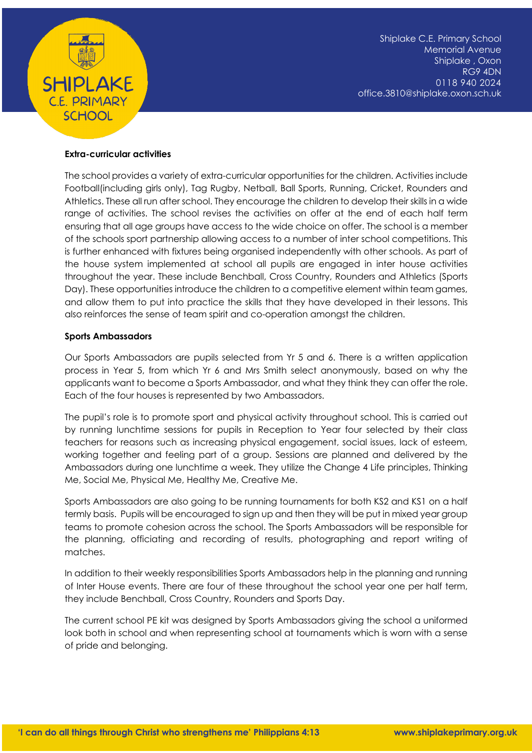

## **Extra-curricular activities**

The school provides a variety of extra-curricular opportunities for the children. Activities include Football(including girls only), Tag Rugby, Netball, Ball Sports, Running, Cricket, Rounders and Athletics. These all run after school. They encourage the children to develop their skills in a wide range of activities. The school revises the activities on offer at the end of each half term ensuring that all age groups have access to the wide choice on offer. The school is a member of the schools sport partnership allowing access to a number of inter school competitions. This is further enhanced with fixtures being organised independently with other schools. As part of the house system implemented at school all pupils are engaged in inter house activities throughout the year. These include Benchball, Cross Country, Rounders and Athletics (Sports Day). These opportunities introduce the children to a competitive element within team games, and allow them to put into practice the skills that they have developed in their lessons. This also reinforces the sense of team spirit and co-operation amongst the children.

## **Sports Ambassadors**

Our Sports Ambassadors are pupils selected from Yr 5 and 6. There is a written application process in Year 5, from which Yr 6 and Mrs Smith select anonymously, based on why the applicants want to become a Sports Ambassador, and what they think they can offer the role. Each of the four houses is represented by two Ambassadors.

The pupil's role is to promote sport and physical activity throughout school. This is carried out by running lunchtime sessions for pupils in Reception to Year four selected by their class teachers for reasons such as increasing physical engagement, social issues, lack of esteem, working together and feeling part of a group. Sessions are planned and delivered by the Ambassadors during one lunchtime a week. They utilize the Change 4 Life principles, Thinking Me, Social Me, Physical Me, Healthy Me, Creative Me.

Sports Ambassadors are also going to be running tournaments for both KS2 and KS1 on a half termly basis. Pupils will be encouraged to sign up and then they will be put in mixed year group teams to promote cohesion across the school. The Sports Ambassadors will be responsible for the planning, officiating and recording of results, photographing and report writing of matches.

In addition to their weekly responsibilities Sports Ambassadors help in the planning and running of Inter House events. There are four of these throughout the school year one per half term, they include Benchball, Cross Country, Rounders and Sports Day.

The current school PE kit was designed by Sports Ambassadors giving the school a uniformed look both in school and when representing school at tournaments which is worn with a sense of pride and belonging.